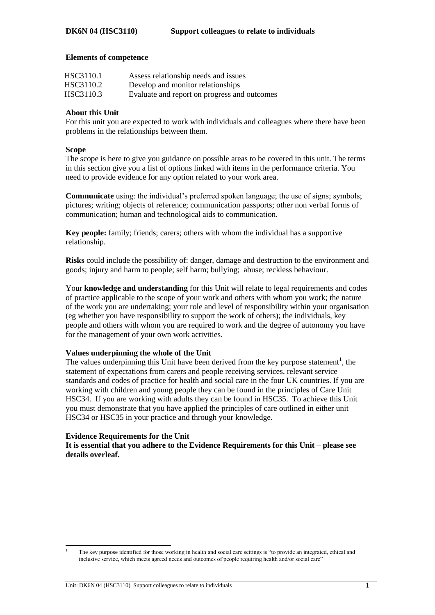## **Elements of competence**

| HSC3110.1 | Assess relationship needs and issues         |
|-----------|----------------------------------------------|
| HSC3110.2 | Develop and monitor relationships            |
| HSC3110.3 | Evaluate and report on progress and outcomes |

## **About this Unit**

For this unit you are expected to work with individuals and colleagues where there have been problems in the relationships between them.

## **Scope**

The scope is here to give you guidance on possible areas to be covered in this unit. The terms in this section give you a list of options linked with items in the performance criteria. You need to provide evidence for any option related to your work area.

**Communicate** using: the individual's preferred spoken language; the use of signs; symbols; pictures; writing; objects of reference; communication passports; other non verbal forms of communication; human and technological aids to communication.

**Key people:** family; friends; carers; others with whom the individual has a supportive relationship.

**Risks** could include the possibility of: danger, damage and destruction to the environment and goods; injury and harm to people; self harm; bullying; abuse; reckless behaviour.

Your **knowledge and understanding** for this Unit will relate to legal requirements and codes of practice applicable to the scope of your work and others with whom you work; the nature of the work you are undertaking; your role and level of responsibility within your organisation (eg whether you have responsibility to support the work of others); the individuals, key people and others with whom you are required to work and the degree of autonomy you have for the management of your own work activities.

## **Values underpinning the whole of the Unit**

The values underpinning this Unit have been derived from the key purpose statement<sup>1</sup>, the statement of expectations from carers and people receiving services, relevant service standards and codes of practice for health and social care in the four UK countries. If you are working with children and young people they can be found in the principles of Care Unit HSC34. If you are working with adults they can be found in HSC35. To achieve this Unit you must demonstrate that you have applied the principles of care outlined in either unit HSC34 or HSC35 in your practice and through your knowledge.

## **Evidence Requirements for the Unit**

l

**It is essential that you adhere to the Evidence Requirements for this Unit – please see details overleaf.**

<sup>1</sup> The key purpose identified for those working in health and social care settings is "to provide an integrated, ethical and inclusive service, which meets agreed needs and outcomes of people requiring health and/or social care"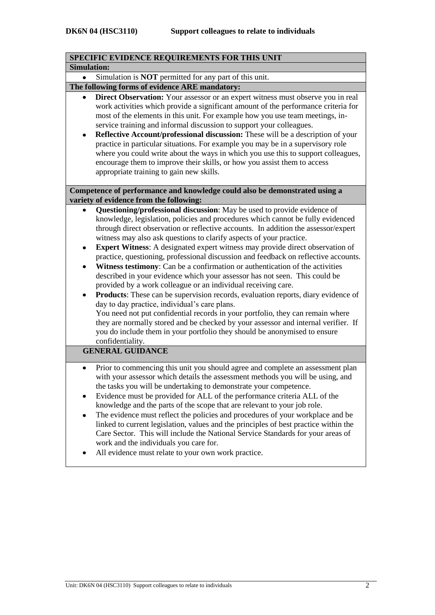| SPECIFIC EVIDENCE REQUIREMENTS FOR THIS UNIT                                                                                                                                                                                                                                                                                                                                                                                                                                                                                                                                                                                                                                                                                                                                                                                                                                                                                                                                                                                                                                                                                                                                |
|-----------------------------------------------------------------------------------------------------------------------------------------------------------------------------------------------------------------------------------------------------------------------------------------------------------------------------------------------------------------------------------------------------------------------------------------------------------------------------------------------------------------------------------------------------------------------------------------------------------------------------------------------------------------------------------------------------------------------------------------------------------------------------------------------------------------------------------------------------------------------------------------------------------------------------------------------------------------------------------------------------------------------------------------------------------------------------------------------------------------------------------------------------------------------------|
| <b>Simulation:</b>                                                                                                                                                                                                                                                                                                                                                                                                                                                                                                                                                                                                                                                                                                                                                                                                                                                                                                                                                                                                                                                                                                                                                          |
| Simulation is <b>NOT</b> permitted for any part of this unit.                                                                                                                                                                                                                                                                                                                                                                                                                                                                                                                                                                                                                                                                                                                                                                                                                                                                                                                                                                                                                                                                                                               |
| The following forms of evidence ARE mandatory:                                                                                                                                                                                                                                                                                                                                                                                                                                                                                                                                                                                                                                                                                                                                                                                                                                                                                                                                                                                                                                                                                                                              |
| Direct Observation: Your assessor or an expert witness must observe you in real<br>work activities which provide a significant amount of the performance criteria for<br>most of the elements in this unit. For example how you use team meetings, in-<br>service training and informal discussion to support your colleagues.<br>Reflective Account/professional discussion: These will be a description of your<br>$\bullet$<br>practice in particular situations. For example you may be in a supervisory role<br>where you could write about the ways in which you use this to support colleagues,<br>encourage them to improve their skills, or how you assist them to access<br>appropriate training to gain new skills.                                                                                                                                                                                                                                                                                                                                                                                                                                              |
| Competence of performance and knowledge could also be demonstrated using a                                                                                                                                                                                                                                                                                                                                                                                                                                                                                                                                                                                                                                                                                                                                                                                                                                                                                                                                                                                                                                                                                                  |
| variety of evidence from the following:                                                                                                                                                                                                                                                                                                                                                                                                                                                                                                                                                                                                                                                                                                                                                                                                                                                                                                                                                                                                                                                                                                                                     |
| Questioning/professional discussion: May be used to provide evidence of<br>knowledge, legislation, policies and procedures which cannot be fully evidenced<br>through direct observation or reflective accounts. In addition the assessor/expert<br>witness may also ask questions to clarify aspects of your practice.<br><b>Expert Witness:</b> A designated expert witness may provide direct observation of<br>$\bullet$<br>practice, questioning, professional discussion and feedback on reflective accounts.<br>Witness testimony: Can be a confirmation or authentication of the activities<br>٠<br>described in your evidence which your assessor has not seen. This could be<br>provided by a work colleague or an individual receiving care.<br>Products: These can be supervision records, evaluation reports, diary evidence of<br>٠<br>day to day practice, individual's care plans.<br>You need not put confidential records in your portfolio, they can remain where<br>they are normally stored and be checked by your assessor and internal verifier. If<br>you do include them in your portfolio they should be anonymised to ensure<br>confidentiality. |
| <b>GENERAL GUIDANCE</b>                                                                                                                                                                                                                                                                                                                                                                                                                                                                                                                                                                                                                                                                                                                                                                                                                                                                                                                                                                                                                                                                                                                                                     |
| Prior to commencing this unit you should agree and complete an assessment plan<br>٠<br>with your assessor which details the assessment methods you will be using, and<br>the tasks you will be undertaking to demonstrate your competence.<br>Evidence must be provided for ALL of the performance criteria ALL of the<br>knowledge and the parts of the scope that are relevant to your job role.<br>The evidence must reflect the policies and procedures of your workplace and be<br>٠<br>linked to current legislation, values and the principles of best practice within the<br>Care Sector. This will include the National Service Standards for your areas of<br>work and the individuals you care for.<br>All evidence must relate to your own work practice.                                                                                                                                                                                                                                                                                                                                                                                                       |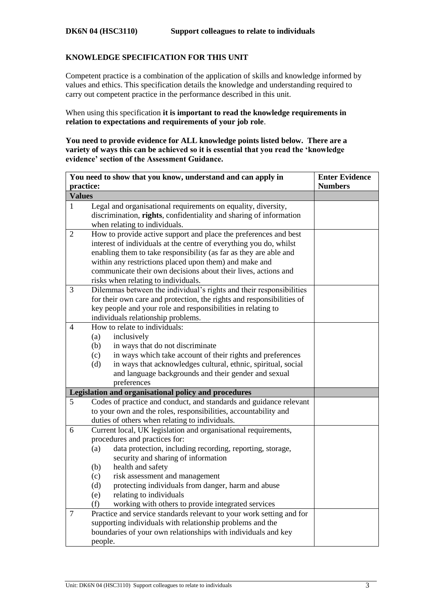## **KNOWLEDGE SPECIFICATION FOR THIS UNIT**

Competent practice is a combination of the application of skills and knowledge informed by values and ethics. This specification details the knowledge and understanding required to carry out competent practice in the performance described in this unit.

When using this specification **it is important to read the knowledge requirements in relation to expectations and requirements of your job role**.

**You need to provide evidence for ALL knowledge points listed below. There are a variety of ways this can be achieved so it is essential that you read the 'knowledge evidence' section of the Assessment Guidance.**

| practice:                                                                                                                                                                                                                                                                                                                                                                                                                                                                                                                                                                       | <b>Numbers</b>                                                                                                                                                                                                                                                                                                |
|---------------------------------------------------------------------------------------------------------------------------------------------------------------------------------------------------------------------------------------------------------------------------------------------------------------------------------------------------------------------------------------------------------------------------------------------------------------------------------------------------------------------------------------------------------------------------------|---------------------------------------------------------------------------------------------------------------------------------------------------------------------------------------------------------------------------------------------------------------------------------------------------------------|
|                                                                                                                                                                                                                                                                                                                                                                                                                                                                                                                                                                                 |                                                                                                                                                                                                                                                                                                               |
| <b>Values</b>                                                                                                                                                                                                                                                                                                                                                                                                                                                                                                                                                                   |                                                                                                                                                                                                                                                                                                               |
| Legal and organisational requirements on equality, diversity,<br>discrimination, rights, confidentiality and sharing of information<br>when relating to individuals.                                                                                                                                                                                                                                                                                                                                                                                                            |                                                                                                                                                                                                                                                                                                               |
| interest of individuals at the centre of everything you do, whilst<br>enabling them to take responsibility (as far as they are able and<br>within any restrictions placed upon them) and make and<br>communicate their own decisions about their lives, actions and<br>risks when relating to individuals.                                                                                                                                                                                                                                                                      |                                                                                                                                                                                                                                                                                                               |
| for their own care and protection, the rights and responsibilities of<br>key people and your role and responsibilities in relating to<br>individuals relationship problems.                                                                                                                                                                                                                                                                                                                                                                                                     |                                                                                                                                                                                                                                                                                                               |
| (a)<br>inclusively<br>(b)<br>in ways that do not discriminate<br>in ways which take account of their rights and preferences<br>(c)<br>in ways that acknowledges cultural, ethnic, spiritual, social<br>(d)<br>and language backgrounds and their gender and sexual<br>preferences                                                                                                                                                                                                                                                                                               |                                                                                                                                                                                                                                                                                                               |
|                                                                                                                                                                                                                                                                                                                                                                                                                                                                                                                                                                                 |                                                                                                                                                                                                                                                                                                               |
| Codes of practice and conduct, and standards and guidance relevant<br>to your own and the roles, responsibilities, accountability and<br>duties of others when relating to individuals.                                                                                                                                                                                                                                                                                                                                                                                         |                                                                                                                                                                                                                                                                                                               |
| procedures and practices for:<br>data protection, including recording, reporting, storage,<br>(a)<br>security and sharing of information<br>(b)<br>health and safety<br>risk assessment and management<br>(c)<br>protecting individuals from danger, harm and abuse<br>(d)<br>relating to individuals<br>(e)<br>working with others to provide integrated services<br>(f)<br>Practice and service standards relevant to your work setting and for<br>supporting individuals with relationship problems and the<br>boundaries of your own relationships with individuals and key |                                                                                                                                                                                                                                                                                                               |
|                                                                                                                                                                                                                                                                                                                                                                                                                                                                                                                                                                                 | How to provide active support and place the preferences and best<br>Dilemmas between the individual's rights and their responsibilities<br>How to relate to individuals:<br>Legislation and organisational policy and procedures<br>Current local, UK legislation and organisational requirements,<br>people. |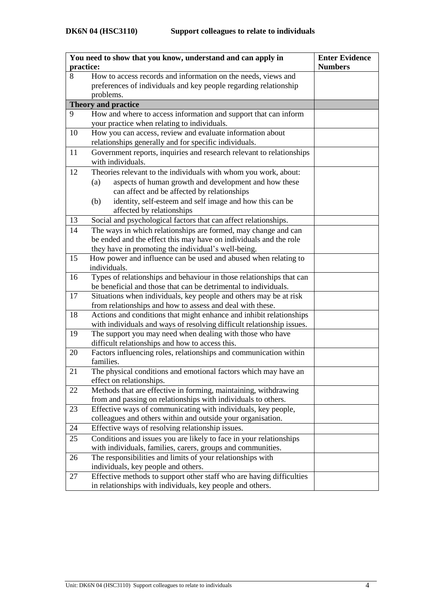| You need to show that you know, understand and can apply in | <b>Enter Evidence</b>                                                 |  |
|-------------------------------------------------------------|-----------------------------------------------------------------------|--|
| practice:                                                   | <b>Numbers</b>                                                        |  |
| 8                                                           | How to access records and information on the needs, views and         |  |
|                                                             | preferences of individuals and key people regarding relationship      |  |
|                                                             | problems.                                                             |  |
| <b>Theory and practice</b>                                  |                                                                       |  |
| 9                                                           | How and where to access information and support that can inform       |  |
|                                                             | your practice when relating to individuals.                           |  |
| 10                                                          | How you can access, review and evaluate information about             |  |
|                                                             | relationships generally and for specific individuals.                 |  |
| 11                                                          | Government reports, inquiries and research relevant to relationships  |  |
|                                                             | with individuals.                                                     |  |
| 12                                                          | Theories relevant to the individuals with whom you work, about:       |  |
|                                                             | aspects of human growth and development and how these<br>(a)          |  |
|                                                             | can affect and be affected by relationships                           |  |
|                                                             | identity, self-esteem and self image and how this can be<br>(b)       |  |
|                                                             | affected by relationships                                             |  |
| 13                                                          | Social and psychological factors that can affect relationships.       |  |
| 14                                                          | The ways in which relationships are formed, may change and can        |  |
|                                                             | be ended and the effect this may have on individuals and the role     |  |
|                                                             | they have in promoting the individual's well-being.                   |  |
| 15                                                          | How power and influence can be used and abused when relating to       |  |
|                                                             | individuals.                                                          |  |
| 16                                                          | Types of relationships and behaviour in those relationships that can  |  |
|                                                             | be beneficial and those that can be detrimental to individuals.       |  |
| 17                                                          | Situations when individuals, key people and others may be at risk     |  |
|                                                             | from relationships and how to assess and deal with these.             |  |
| 18                                                          | Actions and conditions that might enhance and inhibit relationships   |  |
|                                                             | with individuals and ways of resolving difficult relationship issues. |  |
| 19                                                          | The support you may need when dealing with those who have             |  |
|                                                             | difficult relationships and how to access this.                       |  |
| 20                                                          | Factors influencing roles, relationships and communication within     |  |
|                                                             | families.                                                             |  |
| 21                                                          | The physical conditions and emotional factors which may have an       |  |
|                                                             | effect on relationships.                                              |  |
| 22                                                          | Methods that are effective in forming, maintaining, withdrawing       |  |
|                                                             | from and passing on relationships with individuals to others.         |  |
| 23                                                          | Effective ways of communicating with individuals, key people,         |  |
|                                                             | colleagues and others within and outside your organisation.           |  |
| 24                                                          | Effective ways of resolving relationship issues.                      |  |
| 25                                                          | Conditions and issues you are likely to face in your relationships    |  |
|                                                             | with individuals, families, carers, groups and communities.           |  |
| 26                                                          | The responsibilities and limits of your relationships with            |  |
|                                                             | individuals, key people and others.                                   |  |
| 27                                                          | Effective methods to support other staff who are having difficulties  |  |
|                                                             | in relationships with individuals, key people and others.             |  |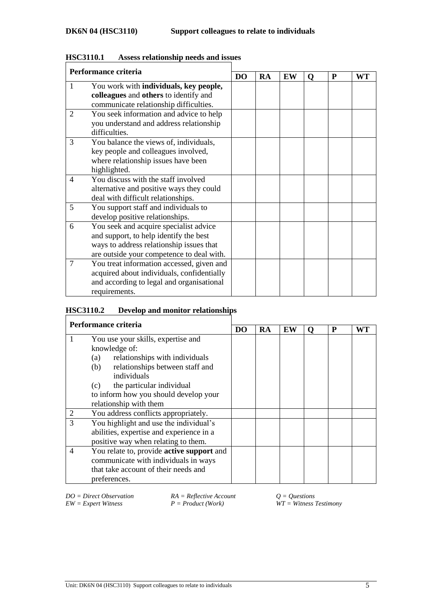| Performance criteria |                                            |  |    |    |   |   |    |
|----------------------|--------------------------------------------|--|----|----|---|---|----|
|                      |                                            |  | RA | EW | O | P | WT |
| 1                    | You work with individuals, key people,     |  |    |    |   |   |    |
|                      | colleagues and others to identify and      |  |    |    |   |   |    |
|                      | communicate relationship difficulties.     |  |    |    |   |   |    |
| 2                    | You seek information and advice to help    |  |    |    |   |   |    |
|                      | you understand and address relationship    |  |    |    |   |   |    |
|                      | difficulties.                              |  |    |    |   |   |    |
| 3                    | You balance the views of, individuals,     |  |    |    |   |   |    |
|                      | key people and colleagues involved,        |  |    |    |   |   |    |
|                      | where relationship issues have been        |  |    |    |   |   |    |
|                      | highlighted.                               |  |    |    |   |   |    |
| 4                    | You discuss with the staff involved        |  |    |    |   |   |    |
|                      | alternative and positive ways they could   |  |    |    |   |   |    |
|                      | deal with difficult relationships.         |  |    |    |   |   |    |
| 5                    | You support staff and individuals to       |  |    |    |   |   |    |
|                      | develop positive relationships.            |  |    |    |   |   |    |
| 6                    | You seek and acquire specialist advice     |  |    |    |   |   |    |
|                      | and support, to help identify the best     |  |    |    |   |   |    |
|                      | ways to address relationship issues that   |  |    |    |   |   |    |
|                      | are outside your competence to deal with.  |  |    |    |   |   |    |
| 7                    | You treat information accessed, given and  |  |    |    |   |   |    |
|                      | acquired about individuals, confidentially |  |    |    |   |   |    |
|                      | and according to legal and organisational  |  |    |    |   |   |    |
|                      | requirements.                              |  |    |    |   |   |    |

## **HSC3110.1 Assess relationship needs and issues**

# **HSC3110.2 Develop and monitor relationships**

| Performance criteria |                                           |  |    |    |   |   |    |
|----------------------|-------------------------------------------|--|----|----|---|---|----|
|                      |                                           |  | RA | EW | 0 | P | WT |
|                      | You use your skills, expertise and        |  |    |    |   |   |    |
|                      | knowledge of:                             |  |    |    |   |   |    |
|                      | relationships with individuals<br>(a)     |  |    |    |   |   |    |
|                      | relationships between staff and<br>(b)    |  |    |    |   |   |    |
|                      | individuals                               |  |    |    |   |   |    |
|                      | the particular individual<br>(c)          |  |    |    |   |   |    |
|                      | to inform how you should develop your     |  |    |    |   |   |    |
|                      | relationship with them                    |  |    |    |   |   |    |
|                      | You address conflicts appropriately.      |  |    |    |   |   |    |
| 3                    | You highlight and use the individual's    |  |    |    |   |   |    |
|                      | abilities, expertise and experience in a  |  |    |    |   |   |    |
|                      | positive way when relating to them.       |  |    |    |   |   |    |
| $\overline{4}$       | You relate to, provide active support and |  |    |    |   |   |    |
|                      | communicate with individuals in ways      |  |    |    |   |   |    |
|                      | that take account of their needs and      |  |    |    |   |   |    |
|                      | preferences.                              |  |    |    |   |   |    |

*EW* = *Expert Witness P P <i>Product (Work) P Product (Work) WT* = *Witness Testimony* 

*DO* = Direct Observation *RA* = Reflective Account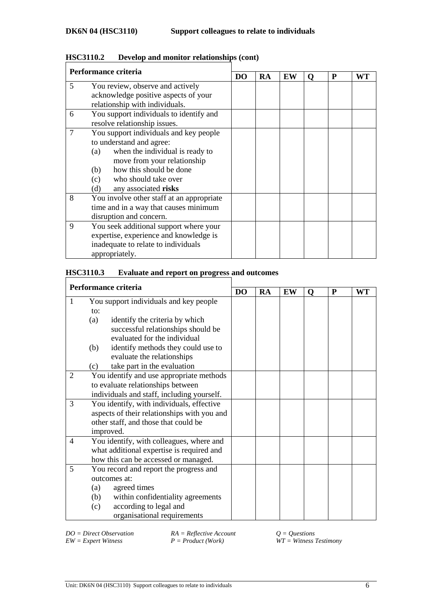| Performance criteria |                                           |  |           |    |   |   |    |
|----------------------|-------------------------------------------|--|-----------|----|---|---|----|
|                      |                                           |  | <b>RA</b> | EW | Ő | P | WT |
| 5                    | You review, observe and actively          |  |           |    |   |   |    |
|                      | acknowledge positive aspects of your      |  |           |    |   |   |    |
|                      | relationship with individuals.            |  |           |    |   |   |    |
| 6                    | You support individuals to identify and   |  |           |    |   |   |    |
|                      | resolve relationship issues.              |  |           |    |   |   |    |
| $\overline{7}$       | You support individuals and key people    |  |           |    |   |   |    |
|                      | to understand and agree:                  |  |           |    |   |   |    |
|                      | when the individual is ready to<br>(a)    |  |           |    |   |   |    |
|                      | move from your relationship               |  |           |    |   |   |    |
|                      | how this should be done<br>(b)            |  |           |    |   |   |    |
|                      | who should take over<br>(c)               |  |           |    |   |   |    |
|                      | any associated risks<br>(d)               |  |           |    |   |   |    |
| 8                    | You involve other staff at an appropriate |  |           |    |   |   |    |
|                      | time and in a way that causes minimum     |  |           |    |   |   |    |
|                      | disruption and concern.                   |  |           |    |   |   |    |
| 9                    | You seek additional support where your    |  |           |    |   |   |    |
|                      | expertise, experience and knowledge is    |  |           |    |   |   |    |
|                      | inadequate to relate to individuals       |  |           |    |   |   |    |
|                      | appropriately.                            |  |           |    |   |   |    |

## **HSC3110.2 Develop and monitor relationships (cont)**

## **HSC3110.3 Evaluate and report on progress and outcomes**

| Performance criteria |                                             |           |           |    |   |   |    |
|----------------------|---------------------------------------------|-----------|-----------|----|---|---|----|
|                      |                                             | <b>DO</b> | <b>RA</b> | EW | O | P | WT |
| 1                    | You support individuals and key people      |           |           |    |   |   |    |
|                      | to:                                         |           |           |    |   |   |    |
|                      | identify the criteria by which<br>(a)       |           |           |    |   |   |    |
|                      | successful relationships should be          |           |           |    |   |   |    |
|                      | evaluated for the individual                |           |           |    |   |   |    |
|                      | identify methods they could use to<br>(b)   |           |           |    |   |   |    |
|                      | evaluate the relationships                  |           |           |    |   |   |    |
|                      | take part in the evaluation<br>(c)          |           |           |    |   |   |    |
| 2                    | You identify and use appropriate methods    |           |           |    |   |   |    |
|                      | to evaluate relationships between           |           |           |    |   |   |    |
|                      | individuals and staff, including yourself.  |           |           |    |   |   |    |
| 3                    | You identify, with individuals, effective   |           |           |    |   |   |    |
|                      | aspects of their relationships with you and |           |           |    |   |   |    |
|                      | other staff, and those that could be        |           |           |    |   |   |    |
|                      | improved.                                   |           |           |    |   |   |    |
| 4                    | You identify, with colleagues, where and    |           |           |    |   |   |    |
|                      | what additional expertise is required and   |           |           |    |   |   |    |
|                      | how this can be accessed or managed.        |           |           |    |   |   |    |
| 5                    | You record and report the progress and      |           |           |    |   |   |    |
|                      | outcomes at:                                |           |           |    |   |   |    |
|                      | agreed times<br>(a)                         |           |           |    |   |   |    |
|                      | within confidentiality agreements<br>(b)    |           |           |    |   |   |    |
|                      | according to legal and<br>(c)               |           |           |    |   |   |    |
|                      | organisational requirements                 |           |           |    |   |   |    |

*DO* = Direct Observation<br>  $EW =$  Expert Witness<br>  $P =$  Product (Work)<br>  $W =$  Witness 2

 $\overline{W}T = \textit{Witness}$  *Testimony*